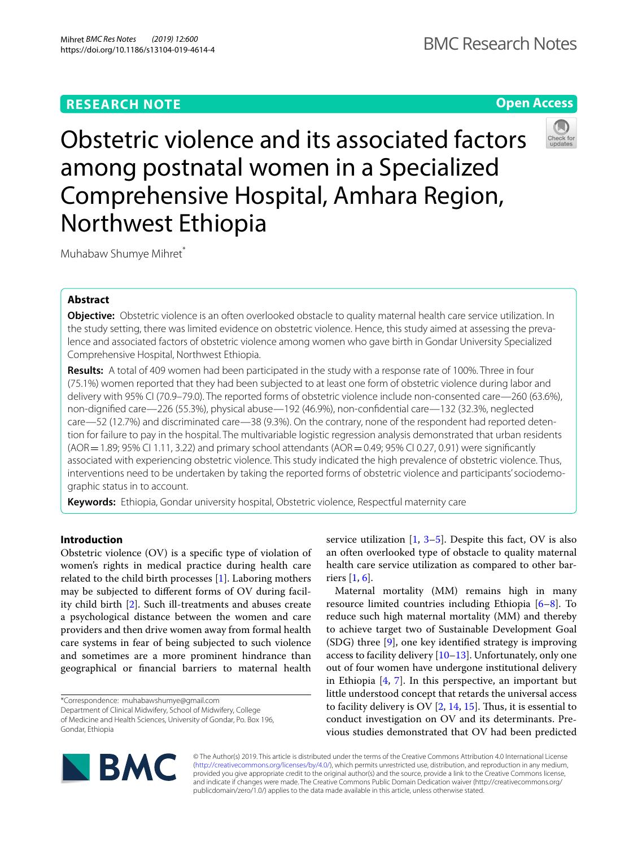# **RESEARCH NOTE**

# **Open Access**



Obstetric violence and its associated factors among postnatal women in a Specialized Comprehensive Hospital, Amhara Region, Northwest Ethiopia

Muhabaw Shumye Mihret\*

# **Abstract**

**Objective:** Obstetric violence is an often overlooked obstacle to quality maternal health care service utilization. In the study setting, there was limited evidence on obstetric violence. Hence, this study aimed at assessing the prevalence and associated factors of obstetric violence among women who gave birth in Gondar University Specialized Comprehensive Hospital, Northwest Ethiopia.

**Results:** A total of 409 women had been participated in the study with a response rate of 100%. Three in four (75.1%) women reported that they had been subjected to at least one form of obstetric violence during labor and delivery with 95% CI (70.9–79.0). The reported forms of obstetric violence include non-consented care—260 (63.6%), non-dignifed care—226 (55.3%), physical abuse—192 (46.9%), non-confdential care—132 (32.3%, neglected care—52 (12.7%) and discriminated care—38 (9.3%). On the contrary, none of the respondent had reported detention for failure to pay in the hospital. The multivariable logistic regression analysis demonstrated that urban residents  $(AOR = 1.89; 95%$  CI 1.11, 3.22) and primary school attendants  $(AOR = 0.49; 95%$  CI 0.27, 0.91) were significantly associated with experiencing obstetric violence. This study indicated the high prevalence of obstetric violence. Thus, interventions need to be undertaken by taking the reported forms of obstetric violence and participants' sociodemographic status in to account.

**Keywords:** Ethiopia, Gondar university hospital, Obstetric violence, Respectful maternity care

# **Introduction**

Obstetric violence (OV) is a specifc type of violation of women's rights in medical practice during health care related to the child birth processes [\[1\]](#page-5-0). Laboring mothers may be subjected to diferent forms of OV during facility child birth [[2\]](#page-5-1). Such ill-treatments and abuses create a psychological distance between the women and care providers and then drive women away from formal health care systems in fear of being subjected to such violence and sometimes are a more prominent hindrance than geographical or fnancial barriers to maternal health

\*Correspondence: muhabawshumye@gmail.com

Department of Clinical Midwifery, School of Midwifery, College of Medicine and Health Sciences, University of Gondar, Po. Box 196, Gondar, Ethiopia

service utilization  $[1, 3-5]$  $[1, 3-5]$  $[1, 3-5]$ . Despite this fact, OV is also an often overlooked type of obstacle to quality maternal health care service utilization as compared to other barriers [[1,](#page-5-0) [6](#page-5-4)].

Maternal mortality (MM) remains high in many resource limited countries including Ethiopia [[6–](#page-5-4)[8](#page-5-5)]. To reduce such high maternal mortality (MM) and thereby to achieve target two of Sustainable Development Goal (SDG) three [\[9](#page-5-6)], one key identifed strategy is improving access to facility delivery  $[10-13]$  $[10-13]$  $[10-13]$ . Unfortunately, only one out of four women have undergone institutional delivery in Ethiopia  $[4, 7]$  $[4, 7]$  $[4, 7]$  $[4, 7]$ . In this perspective, an important but little understood concept that retards the universal access to facility delivery is OV  $[2, 14, 15]$  $[2, 14, 15]$  $[2, 14, 15]$  $[2, 14, 15]$  $[2, 14, 15]$ . Thus, it is essential to conduct investigation on OV and its determinants. Previous studies demonstrated that OV had been predicted



© The Author(s) 2019. This article is distributed under the terms of the Creative Commons Attribution 4.0 International License [\(http://creativecommons.org/licenses/by/4.0/\)](http://creativecommons.org/licenses/by/4.0/), which permits unrestricted use, distribution, and reproduction in any medium, provided you give appropriate credit to the original author(s) and the source, provide a link to the Creative Commons license, and indicate if changes were made. The Creative Commons Public Domain Dedication waiver (http://creativecommons.org/ publicdomain/zero/1.0/) applies to the data made available in this article, unless otherwise stated.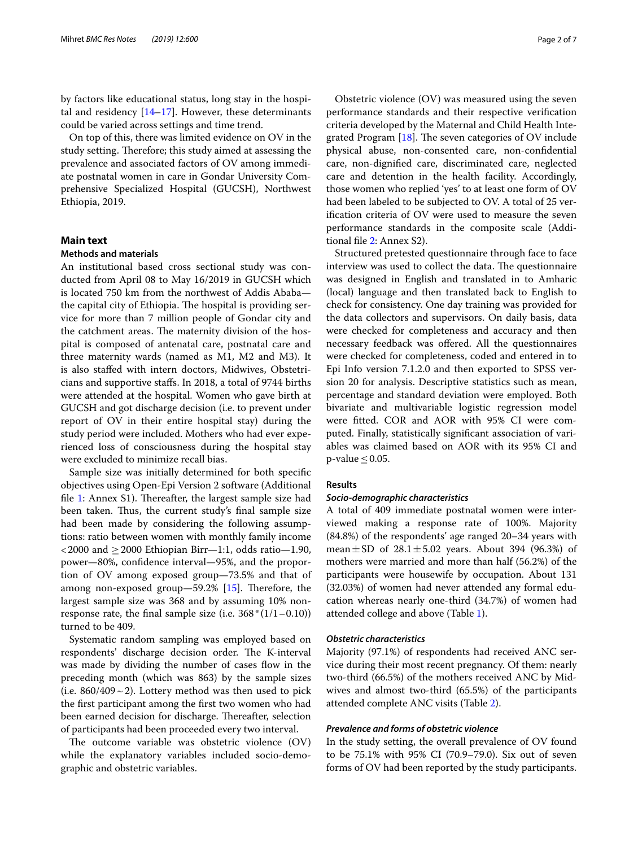by factors like educational status, long stay in the hospital and residency  $[14–17]$  $[14–17]$  $[14–17]$  $[14–17]$ . However, these determinants could be varied across settings and time trend.

On top of this, there was limited evidence on OV in the study setting. Therefore; this study aimed at assessing the prevalence and associated factors of OV among immediate postnatal women in care in Gondar University Comprehensive Specialized Hospital (GUCSH), Northwest Ethiopia, 2019.

## **Main text**

## **Methods and materials**

An institutional based cross sectional study was conducted from April 08 to May 16/2019 in GUCSH which is located 750 km from the northwest of Addis Ababa the capital city of Ethiopia. The hospital is providing service for more than 7 million people of Gondar city and the catchment areas. The maternity division of the hospital is composed of antenatal care, postnatal care and three maternity wards (named as M1, M2 and M3). It is also stafed with intern doctors, Midwives, Obstetricians and supportive stafs. In 2018, a total of 9744 births were attended at the hospital. Women who gave birth at GUCSH and got discharge decision (i.e. to prevent under report of OV in their entire hospital stay) during the study period were included. Mothers who had ever experienced loss of consciousness during the hospital stay were excluded to minimize recall bias.

Sample size was initially determined for both specifc objectives using Open-Epi Version 2 software (Additional file [1](#page-5-14): Annex S1). Thereafter, the largest sample size had been taken. Thus, the current study's final sample size had been made by considering the following assumptions: ratio between women with monthly family income  $\langle 2000 \text{ and } 2000 \text{ Ethiopia} \text{ Birr}\rangle = -1.1$ , odds ratio -1.90, power—80%, confdence interval—95%, and the proportion of OV among exposed group—73.5% and that of among non-exposed group- $59.2\%$  [\[15](#page-5-12)]. Therefore, the largest sample size was 368 and by assuming 10% nonresponse rate, the final sample size (i.e.  $368*(1/1-0.10)$ ) turned to be 409.

Systematic random sampling was employed based on respondents' discharge decision order. The K-interval was made by dividing the number of cases flow in the preceding month (which was 863) by the sample sizes (i.e.  $860/409 \sim 2$ ). Lottery method was then used to pick the frst participant among the frst two women who had been earned decision for discharge. Thereafter, selection of participants had been proceeded every two interval.

The outcome variable was obstetric violence (OV) while the explanatory variables included socio-demographic and obstetric variables.

Obstetric violence (OV) was measured using the seven performance standards and their respective verifcation criteria developed by the Maternal and Child Health Integrated Program  $[18]$  $[18]$ . The seven categories of OV include physical abuse, non-consented care, non-confdential care, non-dignifed care, discriminated care, neglected care and detention in the health facility. Accordingly, those women who replied 'yes' to at least one form of OV had been labeled to be subjected to OV. A total of 25 verifcation criteria of OV were used to measure the seven performance standards in the composite scale (Additional fle [2](#page-5-15): Annex S2).

Structured pretested questionnaire through face to face interview was used to collect the data. The questionnaire was designed in English and translated in to Amharic (local) language and then translated back to English to check for consistency. One day training was provided for the data collectors and supervisors. On daily basis, data were checked for completeness and accuracy and then necessary feedback was ofered. All the questionnaires were checked for completeness, coded and entered in to Epi Info version 7.1.2.0 and then exported to SPSS version 20 for analysis. Descriptive statistics such as mean, percentage and standard deviation were employed. Both bivariate and multivariable logistic regression model were ftted. COR and AOR with 95% CI were computed. Finally, statistically signifcant association of variables was claimed based on AOR with its 95% CI and p-value  $< 0.05$ .

## **Results**

#### *Socio‑demographic characteristics*

A total of 409 immediate postnatal women were interviewed making a response rate of 100%. Majority (84.8%) of the respondents' age ranged 20–34 years with mean  $\pm$  SD of 28.1 $\pm$ 5.02 years. About 394 (96.3%) of mothers were married and more than half (56.2%) of the participants were housewife by occupation. About 131 (32.03%) of women had never attended any formal education whereas nearly one-third (34.7%) of women had attended college and above (Table [1\)](#page-2-0).

## *Obstetric characteristics*

Majority (97.1%) of respondents had received ANC service during their most recent pregnancy. Of them: nearly two-third (66.5%) of the mothers received ANC by Midwives and almost two-third (65.5%) of the participants attended complete ANC visits (Table [2\)](#page-2-1).

# *Prevalence and forms of obstetric violence*

In the study setting, the overall prevalence of OV found to be 75.1% with 95% CI (70.9–79.0). Six out of seven forms of OV had been reported by the study participants.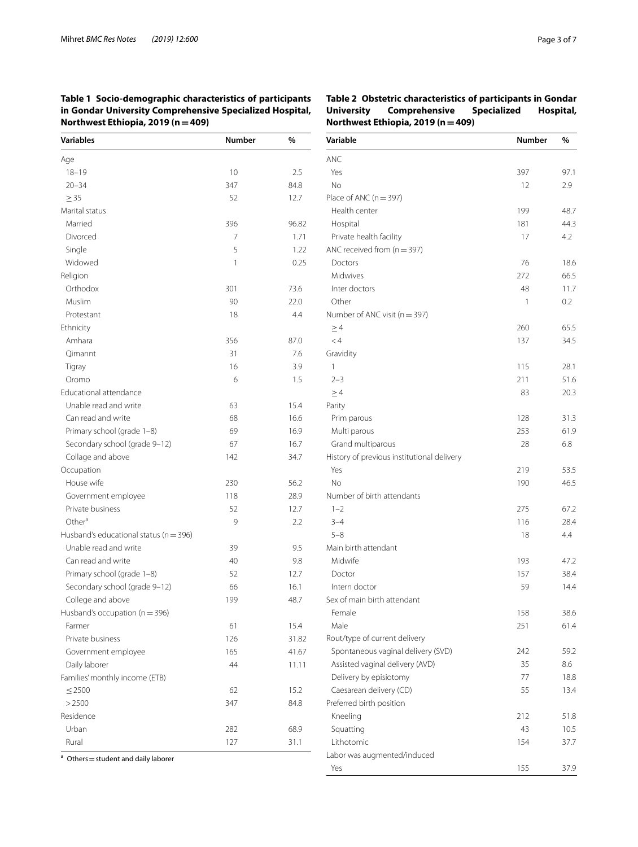<span id="page-2-0"></span>**Table 1 Socio-demographic characteristics of participants in Gondar University Comprehensive Specialized Hospital, Northwest Ethiopia, 2019 (n=409)**

| <b>Variables</b>                           | <b>Number</b> | %     |
|--------------------------------------------|---------------|-------|
| Age                                        |               |       |
| $18 - 19$                                  | 10            | 2.5   |
| $20 - 34$                                  | 347           | 84.8  |
| $\geq$ 35                                  | 52            | 12.7  |
| Marital status                             |               |       |
| Married                                    | 396           | 96.82 |
| Divorced                                   | 7             | 1.71  |
| Single                                     | 5             | 1.22  |
| Widowed                                    | 1             | 0.25  |
| Religion                                   |               |       |
| Orthodox                                   | 301           | 73.6  |
| Muslim                                     | 90            | 22.0  |
| Protestant                                 | 18            | 4.4   |
| Ethnicity                                  |               |       |
| Amhara                                     | 356           | 87.0  |
| Qimannt                                    | 31            | 7.6   |
| Tigray                                     | 16            | 3.9   |
| Oromo                                      | 6             | 1.5   |
| <b>Educational attendance</b>              |               |       |
| Unable read and write                      | 63            | 15.4  |
| Can read and write                         | 68            | 16.6  |
| Primary school (grade 1-8)                 | 69            | 16.9  |
| Secondary school (grade 9-12)              | 67            | 16.7  |
| Collage and above                          | 142           | 34.7  |
| Occupation                                 |               |       |
| House wife                                 | 230           | 56.2  |
| Government employee                        | 118           | 28.9  |
| Private business                           | 52            | 12.7  |
| Other <sup>a</sup>                         | 9             | 2.2   |
| Husband's educational status ( $n = 396$ ) |               |       |
| Unable read and write                      | 39            | 9.5   |
| Can read and write                         | 40            | 9.8   |
| Primary school (grade 1-8)                 | 52            | 12.7  |
| Secondary school (grade 9-12)              | 66            | 16.1  |
| College and above                          | 199           | 48.7  |
| Husband's occupation (n = 396)             |               |       |
| Farmer                                     | 61            | 15.4  |
| Private business                           | 126           | 31.82 |
| Government employee                        | 165           | 41.67 |
| Daily laborer                              | 44            | 11.11 |
| Families' monthly income (ETB)             |               |       |
| $\leq$ 2500                                | 62            | 15.2  |
| >2500                                      | 347           | 84.8  |
| Residence                                  |               |       |
| Urban                                      | 282           | 68.9  |
| Rural                                      | 127           | 31.1  |

 $a$  Others = student and daily laborer

<span id="page-2-1"></span>**Table 2 Obstetric characteristics of participants in Gondar University Comprehensive Specialized Hospital, Northwest Ethiopia, 2019 (n=409)**

| Variable                                   | Number | $\%$ |  |
|--------------------------------------------|--------|------|--|
| <b>ANC</b>                                 |        |      |  |
| Yes                                        | 397    | 97.1 |  |
| No                                         | 12     | 2.9  |  |
| Place of ANC (n = 397)                     |        |      |  |
| Health center                              | 199    | 48.7 |  |
| Hospital                                   | 181    | 44.3 |  |
| Private health facility                    | 17     | 4.2  |  |
| ANC received from $(n = 397)$              |        |      |  |
| Doctors                                    | 76     | 18.6 |  |
| Midwives                                   | 272    | 66.5 |  |
| Inter doctors                              | 48     | 11.7 |  |
| Other                                      | 1      | 0.2  |  |
| Number of ANC visit ( $n = 397$ )          |        |      |  |
| $\geq$ 4                                   | 260    | 65.5 |  |
| $\lt$ 4                                    | 137    | 34.5 |  |
| Gravidity                                  |        |      |  |
| 1                                          | 115    | 28.1 |  |
| $2 - 3$                                    | 211    | 51.6 |  |
| $\geq$ 4                                   | 83     | 20.3 |  |
| Parity                                     |        |      |  |
| Prim parous                                | 128    | 31.3 |  |
| Multi parous                               | 253    | 61.9 |  |
| Grand multiparous                          | 28     | 6.8  |  |
| History of previous institutional delivery |        |      |  |
| Yes                                        | 219    | 53.5 |  |
| No                                         | 190    | 46.5 |  |
| Number of birth attendants                 |        |      |  |
| $1 - 2$                                    | 275    | 67.2 |  |
| $3 - 4$                                    | 116    | 28.4 |  |
| $5 - 8$                                    | 18     | 4.4  |  |
| Main birth attendant                       |        |      |  |
| Midwife                                    | 193    | 47.2 |  |
| Doctor                                     | 157    | 38.4 |  |
| Intern doctor                              | 59     | 14.4 |  |
| Sex of main birth attendant                |        |      |  |
| Female                                     | 158    | 38.6 |  |
| Male                                       | 251    | 61.4 |  |
| Rout/type of current delivery              |        |      |  |
| Spontaneous vaginal delivery (SVD)         | 242    | 59.2 |  |
| Assisted vaginal delivery (AVD)            | 35     | 8.6  |  |
| Delivery by episiotomy                     | 77     | 18.8 |  |
| Caesarean delivery (CD)                    | 55     | 13.4 |  |
| Preferred birth position                   |        |      |  |
| Kneeling                                   | 212    | 51.8 |  |
| Squatting                                  | 43     | 10.5 |  |
| Lithotomic                                 | 154    | 37.7 |  |
| Labor was augmented/induced                |        |      |  |
| Yes                                        | 155    | 37.9 |  |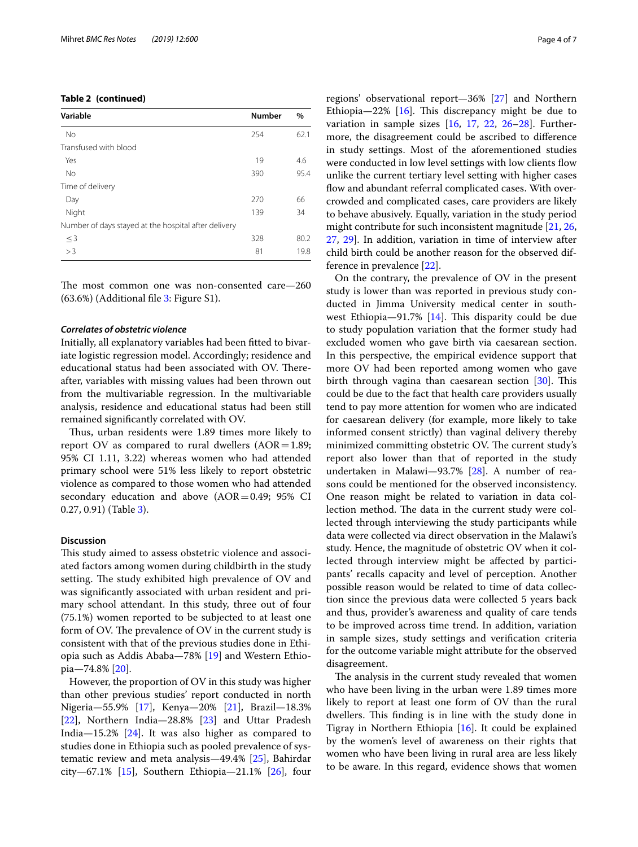## **Table 2 (continued)**

| Variable                                             | <b>Number</b> | $\%$ |
|------------------------------------------------------|---------------|------|
| No                                                   | 254           | 62.1 |
| Transfused with blood                                |               |      |
| Yes                                                  | 19            | 4.6  |
| No                                                   | 390           | 95.4 |
| Time of delivery                                     |               |      |
| Day                                                  | 270           | 66   |
| Night                                                | 139           | 34   |
| Number of days stayed at the hospital after delivery |               |      |
| $\leq$ 3                                             | 328           | 80.2 |
| >3                                                   | 81            | 19.8 |

The most common one was non-consented care-260 (63.6%) (Additional fle [3:](#page-5-16) Figure S1).

#### *Correlates of obstetric violence*

Initially, all explanatory variables had been ftted to bivariate logistic regression model. Accordingly; residence and educational status had been associated with OV. Thereafter, variables with missing values had been thrown out from the multivariable regression. In the multivariable analysis, residence and educational status had been still remained signifcantly correlated with OV.

Thus, urban residents were 1.89 times more likely to report OV as compared to rural dwellers  $(AOR=1.89;$ 95% CI 1.11, 3.22) whereas women who had attended primary school were 51% less likely to report obstetric violence as compared to those women who had attended secondary education and above  $(AOR = 0.49; 95\% \text{ CI})$ 0.27, 0.91) (Table [3\)](#page-4-0).

## **Discussion**

This study aimed to assess obstetric violence and associated factors among women during childbirth in the study setting. The study exhibited high prevalence of OV and was signifcantly associated with urban resident and primary school attendant. In this study, three out of four (75.1%) women reported to be subjected to at least one form of OV. The prevalence of OV in the current study is consistent with that of the previous studies done in Ethiopia such as Addis Ababa—78% [\[19](#page-6-1)] and Western Ethiopia—74.8% [[20](#page-6-2)].

However, the proportion of OV in this study was higher than other previous studies' report conducted in north Nigeria—55.9% [[17](#page-5-13)], Kenya—20% [\[21\]](#page-6-3), Brazil—18.3% [[22\]](#page-6-4), Northern India-28.8% [[23](#page-6-5)] and Uttar Pradesh India—15.2% [[24\]](#page-6-6). It was also higher as compared to studies done in Ethiopia such as pooled prevalence of systematic review and meta analysis—49.4% [[25\]](#page-6-7), Bahirdar city—67.1%  $[15]$ , Southern Ethiopia—21.1%  $[26]$  $[26]$ , four regions' observational report—36% [[27](#page-6-9)] and Northern Ethiopia—22%  $[16]$  $[16]$ . This discrepancy might be due to variation in sample sizes [[16,](#page-5-17) [17](#page-5-13), [22,](#page-6-4) [26–](#page-6-8)[28](#page-6-10)]. Furthermore, the disagreement could be ascribed to diference in study settings. Most of the aforementioned studies were conducted in low level settings with low clients flow unlike the current tertiary level setting with higher cases flow and abundant referral complicated cases. With overcrowded and complicated cases, care providers are likely to behave abusively. Equally, variation in the study period might contribute for such inconsistent magnitude [\[21](#page-6-3), [26](#page-6-8), [27,](#page-6-9) [29](#page-6-11)]. In addition, variation in time of interview after child birth could be another reason for the observed difference in prevalence [[22](#page-6-4)].

On the contrary, the prevalence of OV in the present study is lower than was reported in previous study conducted in Jimma University medical center in southwest Ethiopia—91.7%  $[14]$  $[14]$ . This disparity could be due to study population variation that the former study had excluded women who gave birth via caesarean section. In this perspective, the empirical evidence support that more OV had been reported among women who gave birth through vagina than caesarean section  $[30]$  $[30]$  $[30]$ . This could be due to the fact that health care providers usually tend to pay more attention for women who are indicated for caesarean delivery (for example, more likely to take informed consent strictly) than vaginal delivery thereby minimized committing obstetric OV. The current study's report also lower than that of reported in the study undertaken in Malawi—93.7% [\[28](#page-6-10)]. A number of reasons could be mentioned for the observed inconsistency. One reason might be related to variation in data collection method. The data in the current study were collected through interviewing the study participants while data were collected via direct observation in the Malawi's study. Hence, the magnitude of obstetric OV when it collected through interview might be afected by participants' recalls capacity and level of perception. Another possible reason would be related to time of data collection since the previous data were collected 5 years back and thus, provider's awareness and quality of care tends to be improved across time trend. In addition, variation in sample sizes, study settings and verifcation criteria for the outcome variable might attribute for the observed disagreement.

The analysis in the current study revealed that women who have been living in the urban were 1.89 times more likely to report at least one form of OV than the rural dwellers. This finding is in line with the study done in Tigray in Northern Ethiopia [\[16\]](#page-5-17). It could be explained by the women's level of awareness on their rights that women who have been living in rural area are less likely to be aware. In this regard, evidence shows that women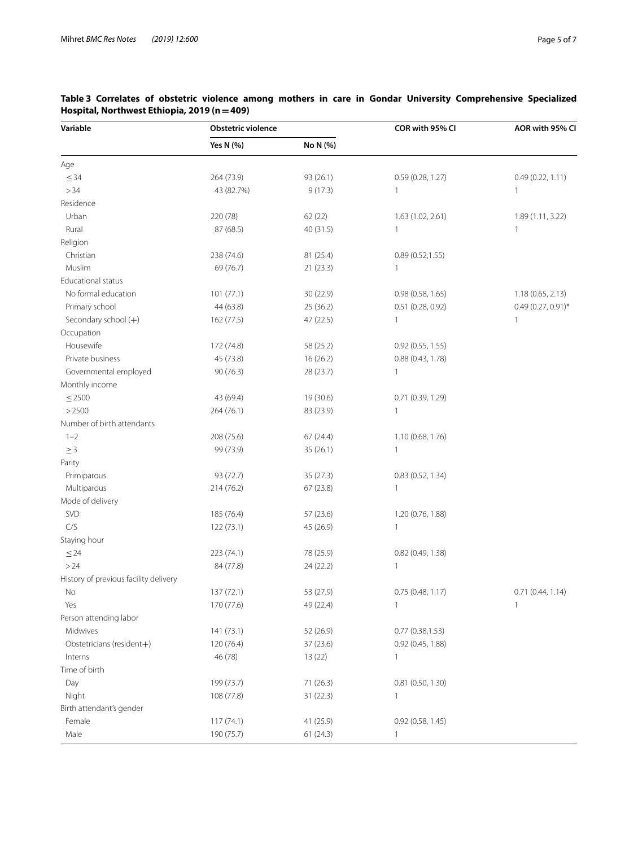| Variable                              | <b>Obstetric violence</b> |           | COR with 95% CI     | AOR with 95% CI      |
|---------------------------------------|---------------------------|-----------|---------------------|----------------------|
|                                       | Yes N (%)                 | No N (%)  |                     |                      |
| Age                                   |                           |           |                     |                      |
| $\leq$ 34                             | 264 (73.9)                | 93 (26.1) | 0.59(0.28, 1.27)    | 0.49 (0.22, 1.11)    |
| >34                                   | 43 (82.7%)                | 9(17.3)   | 1                   | 1                    |
| Residence                             |                           |           |                     |                      |
| Urban                                 | 220 (78)                  | 62(22)    | 1.63 (1.02, 2.61)   | 1.89 (1.11, 3.22)    |
| Rural                                 | 87 (68.5)                 | 40 (31.5) | 1                   | $\mathbf{1}$         |
| Religion                              |                           |           |                     |                      |
| Christian                             | 238 (74.6)                | 81 (25.4) | 0.89(0.52, 1.55)    |                      |
| Muslim                                | 69 (76.7)                 | 21(23.3)  | 1                   |                      |
| <b>Educational status</b>             |                           |           |                     |                      |
| No formal education                   | 101 (77.1)                | 30(22.9)  | 0.98(0.58, 1.65)    | 1.18 (0.65, 2.13)    |
| Primary school                        | 44 (63.8)                 | 25 (36.2) | 0.51 (0.28, 0.92)   | $0.49(0.27, 0.91)$ * |
| Secondary school (+)                  | 162 (77.5)                | 47 (22.5) | 1                   | 1                    |
| Occupation                            |                           |           |                     |                      |
| Housewife                             | 172 (74.8)                | 58 (25.2) | 0.92(0.55, 1.55)    |                      |
| Private business                      | 45 (73.8)                 | 16(26.2)  | 0.88 (0.43, 1.78)   |                      |
| Governmental employed                 | 90 (76.3)                 | 28 (23.7) | 1                   |                      |
| Monthly income                        |                           |           |                     |                      |
| $\leq$ 2500                           | 43 (69.4)                 | 19 (30.6) | 0.71 (0.39, 1.29)   |                      |
| >2500                                 | 264 (76.1)                | 83 (23.9) | 1                   |                      |
| Number of birth attendants            |                           |           |                     |                      |
| $1 - 2$                               | 208 (75.6)                | 67(24.4)  | 1.10 (0.68, 1.76)   |                      |
| $\geq 3$                              | 99 (73.9)                 | 35(26.1)  | $\mathbf{1}$        |                      |
| Parity                                |                           |           |                     |                      |
| Primiparous                           | 93 (72.7)                 | 35(27.3)  | 0.83(0.52, 1.34)    |                      |
| Multiparous                           | 214 (76.2)                | 67(23.8)  | $\mathbf{1}$        |                      |
| Mode of delivery                      |                           |           |                     |                      |
| SVD                                   | 185 (76.4)                | 57 (23.6) | 1.20 (0.76, 1.88)   |                      |
| C/S                                   | 122 (73.1)                | 45 (26.9) | $\mathbf{1}$        |                      |
| Staying hour                          |                           |           |                     |                      |
| $\leq$ 24                             | 223 (74.1)                | 78 (25.9) | 0.82(0.49, 1.38)    |                      |
| >24                                   | 84 (77.8)                 | 24 (22.2) | 1                   |                      |
| History of previous facility delivery |                           |           |                     |                      |
| No                                    | 137(72.1)                 | 53 (27.9) | 0.75(0.48, 1.17)    | 0.71(0.44, 1.14)     |
| Yes                                   | 170 (77.6)                | 49 (22.4) | 1                   |                      |
| Person attending labor                |                           |           |                     |                      |
| Midwives                              | 141 (73.1)                | 52 (26.9) | 0.77(0.38, 1.53)    |                      |
| Obstetricians (resident+)             | 120 (76.4)                | 37 (23.6) | 0.92(0.45, 1.88)    |                      |
| Interns                               | 46 (78)                   | 13(22)    | $\mathbf{1}$        |                      |
| Time of birth                         |                           |           |                     |                      |
| Day                                   | 199 (73.7)                | 71(26.3)  | $0.81$ (0.50, 1.30) |                      |
| Night                                 | 108 (77.8)                | 31(22.3)  | $\mathbf{1}$        |                      |
| Birth attendant's gender              |                           |           |                     |                      |
| Female                                | 117(74.1)                 | 41 (25.9) | 0.92(0.58, 1.45)    |                      |
| Male                                  | 190 (75.7)                | 61(24.3)  | $\mathbf{1}$        |                      |

<span id="page-4-0"></span>**Table 3 Correlates of obstetric violence among mothers in care in Gondar University Comprehensive Specialized Hospital, Northwest Ethiopia, 2019 (n=409)**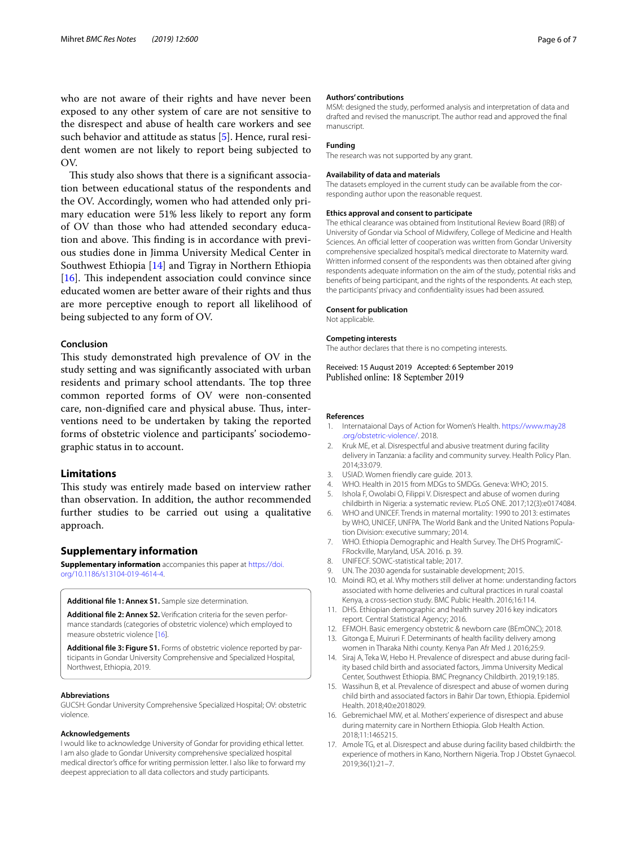who are not aware of their rights and have never been exposed to any other system of care are not sensitive to the disrespect and abuse of health care workers and see such behavior and attitude as status [[5\]](#page-5-3). Hence, rural resident women are not likely to report being subjected to OV.

This study also shows that there is a significant association between educational status of the respondents and the OV. Accordingly, women who had attended only primary education were 51% less likely to report any form of OV than those who had attended secondary education and above. This finding is in accordance with previous studies done in Jimma University Medical Center in Southwest Ethiopia [[14\]](#page-5-11) and Tigray in Northern Ethiopia  $[16]$  $[16]$ . This independent association could convince since educated women are better aware of their rights and thus are more perceptive enough to report all likelihood of being subjected to any form of OV.

## **Conclusion**

This study demonstrated high prevalence of OV in the study setting and was signifcantly associated with urban residents and primary school attendants. The top three common reported forms of OV were non-consented care, non-dignified care and physical abuse. Thus, interventions need to be undertaken by taking the reported forms of obstetric violence and participants' sociodemographic status in to account.

## **Limitations**

This study was entirely made based on interview rather than observation. In addition, the author recommended further studies to be carried out using a qualitative approach.

#### **Supplementary information**

**Supplementary information** accompanies this paper at [https://doi.](https://doi.org/10.1186/s13104-019-4614-4) [org/10.1186/s13104-019-4614-4.](https://doi.org/10.1186/s13104-019-4614-4)

<span id="page-5-14"></span>**Additional fle 1: Annex S1.** Sample size determination.

**Additional fle 2: Annex S2.** Verifcation criteria for the seven performance standards (categories of obstetric violence) which employed to measure obstetric violence [[16](#page-5-17)].

**Additional fle 3: Figure S1.** Forms of obstetric violence reported by participants in Gondar University Comprehensive and Specialized Hospital, Northwest, Ethiopia, 2019.

#### **Abbreviations**

GUCSH: Gondar University Comprehensive Specialized Hospital; OV: obstetric violence.

#### **Acknowledgements**

I would like to acknowledge University of Gondar for providing ethical letter. I am also glade to Gondar University comprehensive specialized hospital medical director's office for writing permission letter. I also like to forward my deepest appreciation to all data collectors and study participants.

#### **Authors' contributions**

MSM: designed the study, performed analysis and interpretation of data and drafted and revised the manuscript. The author read and approved the fnal manuscript.

#### **Funding**

The research was not supported by any grant.

#### **Availability of data and materials**

The datasets employed in the current study can be available from the corresponding author upon the reasonable request.

#### **Ethics approval and consent to participate**

The ethical clearance was obtained from Institutional Review Board (IRB) of University of Gondar via School of Midwifery, College of Medicine and Health Sciences. An official letter of cooperation was written from Gondar University comprehensive specialized hospital's medical directorate to Maternity ward. Written informed consent of the respondents was then obtained after giving respondents adequate information on the aim of the study, potential risks and benefts of being participant, and the rights of the respondents. At each step, the participants' privacy and confdentiality issues had been assured.

#### **Consent for publication**

Not applicable.

### **Competing interests**

The author declares that there is no competing interests.

Received: 15 August 2019 Accepted: 6 September 2019 Published online: 18 September 2019

#### **References**

- <span id="page-5-0"></span>1. Internataional Days of Action for Women's Health. [https://www.may28](https://www.may28.org/obstetric-violence/) [.org/obstetric-violence/](https://www.may28.org/obstetric-violence/). 2018.
- <span id="page-5-1"></span>2. Kruk ME, et al. Disrespectful and abusive treatment during facility delivery in Tanzania: a facility and community survey. Health Policy Plan. 2014;33:079.
- <span id="page-5-2"></span>3. USIAD. Women friendly care guide*.* 2013.
- <span id="page-5-9"></span>4. WHO. Health in 2015 from MDGs to SMDGs. Geneva: WHO; 2015.
- <span id="page-5-3"></span>5. Ishola F, Owolabi O, Filippi V. Disrespect and abuse of women during childbirth in Nigeria: a systematic review. PLoS ONE. 2017;12(3):e0174084.
- <span id="page-5-4"></span>6. WHO and UNICEF. Trends in maternal mortality: 1990 to 2013: estimates by WHO, UNICEF, UNFPA*.* The World Bank and the United Nations Population Division: executive summary; 2014.
- <span id="page-5-10"></span>7. WHO. Ethiopia Demographic and Health Survey. The DHS ProgramIC-FRockville, Maryland, USA. 2016. p. 39.
- <span id="page-5-5"></span>8. UNIFECF. SOWC-statistical table; 2017.
- <span id="page-5-7"></span><span id="page-5-6"></span>9. UN. The 2030 agenda for sustainable development; 2015. 10. Moindi RO, et al. Why mothers still deliver at home: understanding factors associated with home deliveries and cultural practices in rural coastal Kenya, a cross-section study. BMC Public Health. 2016;16:114.
- <span id="page-5-15"></span>11. DHS. Ethiopian demographic and health survey 2016 key indicators report*.* Central Statistical Agency; 2016.
- <span id="page-5-16"></span>12. EFMOH. Basic emergency obstetric & newborn care (BEmONC); 2018.
- <span id="page-5-8"></span>13. Gitonga E, Muiruri F. Determinants of health facility delivery among women in Tharaka Nithi county. Kenya Pan Afr Med J. 2016;25:9.
- <span id="page-5-11"></span>14. Siraj A, Teka W, Hebo H. Prevalence of disrespect and abuse during facility based child birth and associated factors, Jimma University Medical Center, Southwest Ethiopia. BMC Pregnancy Childbirth. 2019;19:185.
- <span id="page-5-12"></span>15. Wassihun B, et al. Prevalence of disrespect and abuse of women during child birth and associated factors in Bahir Dar town, Ethiopia. Epidemiol Health. 2018;40:e2018029.
- <span id="page-5-17"></span>16. Gebremichael MW, et al. Mothers' experience of disrespect and abuse during maternity care in Northern Ethiopia. Glob Health Action. 2018;11:1465215.
- <span id="page-5-13"></span>17. Amole TG, et al. Disrespect and abuse during facility based childbirth: the experience of mothers in Kano, Northern Nigeria. Trop J Obstet Gynaecol. 2019;36(1):21–7.